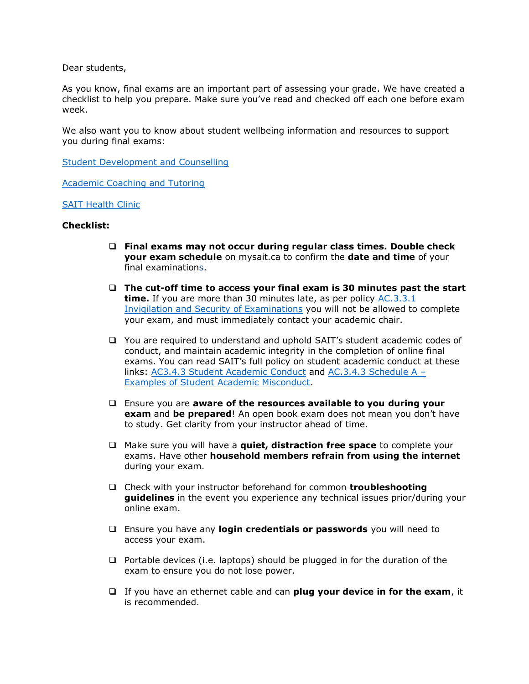Dear students,

As you know, final exams are an important part of assessing your grade. We have created a checklist to help you prepare. Make sure you've read and checked off each one before exam week.

We also want you to know about [student wellbeing information and resources](https://mysait-my.sharepoint.com/:b:/g/personal/rose_campbell_sait_ca/ESSi3S2hgndAiv1IXYV02qAB8FDjG75hwNd6J5eEug-5OA?e=A01znC) to support you during final exams:

[Student Development and Counselling](https://www.sait.ca/student-life/health-wellness-and-safety/student-development-and-counselling)

[Academic Coaching and Tutoring](https://www.sait.ca/student-life/academic-help/academic-services/academic-coaching-and-tutoring)

[SAIT Health Clinic](https://www.sait.ca/student-life/health-wellness-and-safety/health-services-clinic)

## **Checklist:**

- ❑ **Final exams may not occur during regular class times. Double check your exam schedule** on mysait.ca to confirm the **date and time** of your final examinations.
- ❑ **The cut-off time to access your final exam is 30 minutes past the start time.** If you are more than 30 minutes late, as per policy [AC.3.3.1](https://www.sait.ca/about-sait/administration/policies-and-procedures/academic-student)  [Invigilation and Security of Examinations](https://www.sait.ca/about-sait/administration/policies-and-procedures/academic-student) you will not be allowed to complete your exam, and must immediately contact your academic chair.
- ❑ You are required to understand and uphold SAIT's student academic codes of conduct, and maintain academic integrity in the completion of online final exams. You can read SAIT's full policy on student academic conduct at these links: [AC3.4.3 Student Academic Conduct](https://www.sait.ca/about-sait/administration/policies-and-procedures/academic-student) and [AC.3.4.3 Schedule A](https://www.sait.ca/about-sait/administration/policies-and-procedures/academic-student) – [Examples of Student Academic Misconduct.](https://www.sait.ca/about-sait/administration/policies-and-procedures/academic-student)
- ❑ Ensure you are **aware of the resources available to you during your exam** and **be prepared**! An open book exam does not mean you don't have to study. Get clarity from your instructor ahead of time.
- ❑ Make sure you will have a **quiet, distraction free space** to complete your exams. Have other **household members refrain from using the internet**  during your exam.
- ❑ Check with your instructor beforehand for common **troubleshooting guidelines** in the event you experience any technical issues prior/during your online exam.
- ❑ Ensure you have any **login credentials or passwords** you will need to access your exam.
- ❑ Portable devices (i.e. laptops) should be plugged in for the duration of the exam to ensure you do not lose power.
- ❑ If you have an ethernet cable and can **plug your device in for the exam**, it is recommended.